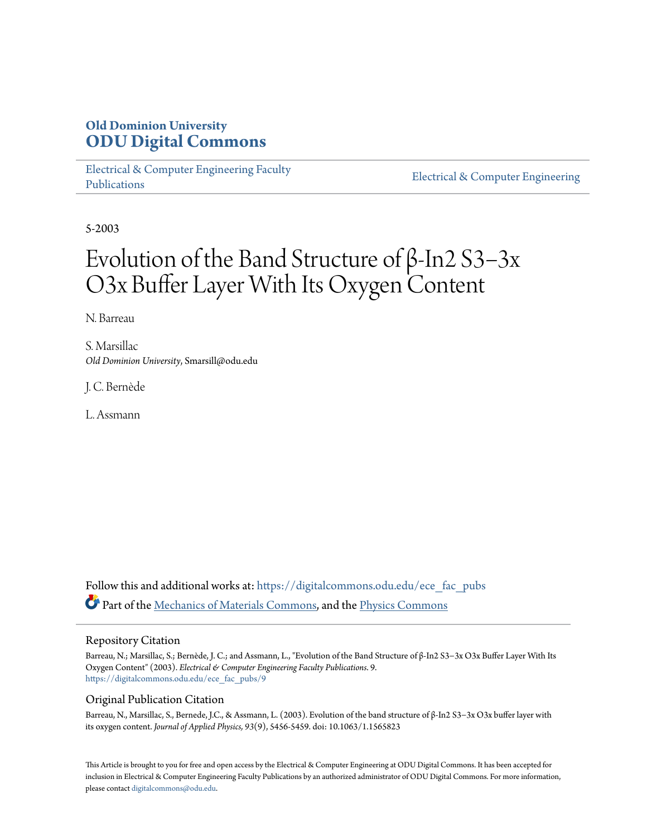## **Old Dominion University [ODU Digital Commons](https://digitalcommons.odu.edu?utm_source=digitalcommons.odu.edu%2Fece_fac_pubs%2F9&utm_medium=PDF&utm_campaign=PDFCoverPages)**

[Electrical & Computer Engineering Faculty](https://digitalcommons.odu.edu/ece_fac_pubs?utm_source=digitalcommons.odu.edu%2Fece_fac_pubs%2F9&utm_medium=PDF&utm_campaign=PDFCoverPages) [Publications](https://digitalcommons.odu.edu/ece_fac_pubs?utm_source=digitalcommons.odu.edu%2Fece_fac_pubs%2F9&utm_medium=PDF&utm_campaign=PDFCoverPages)

[Electrical & Computer Engineering](https://digitalcommons.odu.edu/ece?utm_source=digitalcommons.odu.edu%2Fece_fac_pubs%2F9&utm_medium=PDF&utm_campaign=PDFCoverPages)

5-2003

# Evolution of the Band Structure of β-In2 S3−3x O3x Buffer Layer With Its Oxygen Content

N. Barreau

S. Marsillac *Old Dominion University*, Smarsill@odu.edu

J. C. Bernède

L. Assmann

Follow this and additional works at: [https://digitalcommons.odu.edu/ece\\_fac\\_pubs](https://digitalcommons.odu.edu/ece_fac_pubs?utm_source=digitalcommons.odu.edu%2Fece_fac_pubs%2F9&utm_medium=PDF&utm_campaign=PDFCoverPages) Part of the [Mechanics of Materials Commons,](http://network.bepress.com/hgg/discipline/283?utm_source=digitalcommons.odu.edu%2Fece_fac_pubs%2F9&utm_medium=PDF&utm_campaign=PDFCoverPages) and the [Physics Commons](http://network.bepress.com/hgg/discipline/193?utm_source=digitalcommons.odu.edu%2Fece_fac_pubs%2F9&utm_medium=PDF&utm_campaign=PDFCoverPages)

### Repository Citation

Barreau, N.; Marsillac, S.; Bernède, J. C.; and Assmann, L., "Evolution of the Band Structure of β-In2 S3−3x O3x Buffer Layer With Its Oxygen Content" (2003). *Electrical & Computer Engineering Faculty Publications*. 9. [https://digitalcommons.odu.edu/ece\\_fac\\_pubs/9](https://digitalcommons.odu.edu/ece_fac_pubs/9?utm_source=digitalcommons.odu.edu%2Fece_fac_pubs%2F9&utm_medium=PDF&utm_campaign=PDFCoverPages)

## Original Publication Citation

Barreau, N., Marsillac, S., Bernede, J.C., & Assmann, L. (2003). Evolution of the band structure of β-In2 S3−3x O3x buffer layer with its oxygen content. *Journal of Applied Physics, 93*(9), 5456-5459. doi: 10.1063/1.1565823

This Article is brought to you for free and open access by the Electrical & Computer Engineering at ODU Digital Commons. It has been accepted for inclusion in Electrical & Computer Engineering Faculty Publications by an authorized administrator of ODU Digital Commons. For more information, please contact [digitalcommons@odu.edu](mailto:digitalcommons@odu.edu).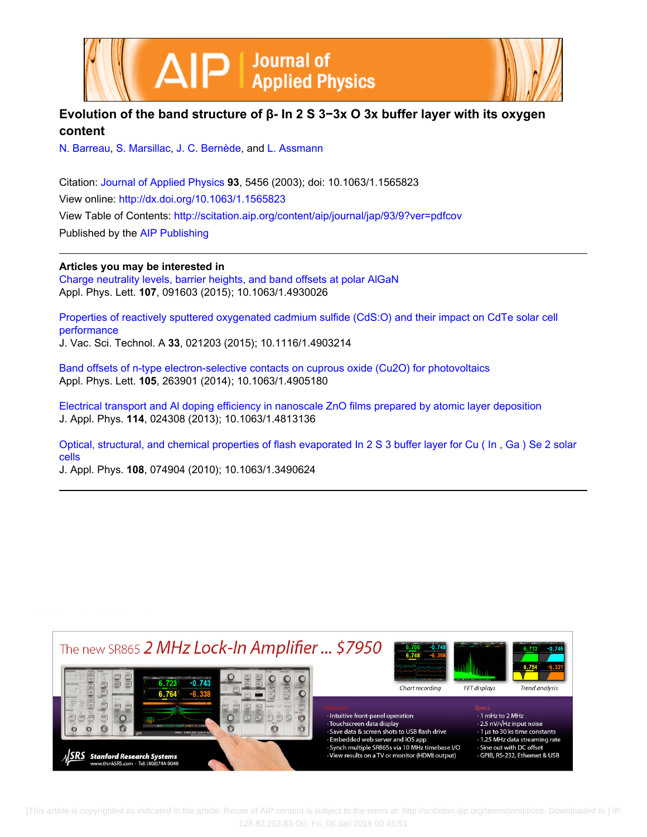



## **Evolution of the band structure of β- In 2 S 3−3x O 3x buffer layer with its oxygen content**

[N. Barreau](http://scitation.aip.org/search?value1=N.+Barreau&option1=author), [S. Marsillac,](http://scitation.aip.org/search?value1=S.+Marsillac&option1=author) [J. C. Bernède](http://scitation.aip.org/search?value1=J.+C.+Bern�de&option1=author), and [L. Assmann](http://scitation.aip.org/search?value1=L.+Assmann&option1=author)

Citation: [Journal of Applied Physics](http://scitation.aip.org/content/aip/journal/jap?ver=pdfcov) **93**, 5456 (2003); doi: 10.1063/1.1565823 View online: <http://dx.doi.org/10.1063/1.1565823> View Table of Contents: <http://scitation.aip.org/content/aip/journal/jap/93/9?ver=pdfcov> Published by the [AIP Publishing](http://scitation.aip.org/content/aip?ver=pdfcov)

**Articles you may be interested in**

[Charge neutrality levels, barrier heights, and band offsets at polar AlGaN](http://scitation.aip.org/content/aip/journal/apl/107/9/10.1063/1.4930026?ver=pdfcov) Appl. Phys. Lett. **107**, 091603 (2015); 10.1063/1.4930026

[Properties of reactively sputtered oxygenated cadmium sulfide \(CdS:O\) and their impact on CdTe solar cell](http://scitation.aip.org/content/avs/journal/jvsta/33/2/10.1116/1.4903214?ver=pdfcov) [performance](http://scitation.aip.org/content/avs/journal/jvsta/33/2/10.1116/1.4903214?ver=pdfcov)

J. Vac. Sci. Technol. A **33**, 021203 (2015); 10.1116/1.4903214

[Band offsets of n-type electron-selective contacts on cuprous oxide \(Cu2O\) for photovoltaics](http://scitation.aip.org/content/aip/journal/apl/105/26/10.1063/1.4905180?ver=pdfcov) Appl. Phys. Lett. **105**, 263901 (2014); 10.1063/1.4905180

[Electrical transport and Al doping efficiency in nanoscale ZnO films prepared by atomic layer deposition](http://scitation.aip.org/content/aip/journal/jap/114/2/10.1063/1.4813136?ver=pdfcov) J. Appl. Phys. **114**, 024308 (2013); 10.1063/1.4813136

[Optical, structural, and chemical properties of flash evaporated In 2 S 3 buffer layer for Cu \( In , Ga \) Se 2 solar](http://scitation.aip.org/content/aip/journal/jap/108/7/10.1063/1.3490624?ver=pdfcov) [cells](http://scitation.aip.org/content/aip/journal/jap/108/7/10.1063/1.3490624?ver=pdfcov)

J. Appl. Phys. **108**, 074904 (2010); 10.1063/1.3490624



 [This article is copyrighted as indicated in the article. Reuse of AIP content is subject to the terms at: http://scitation.aip.org/termsconditions. Downloaded to ] IP: 128.82.253.83 On: Fri, 08 Jan 2016 00:45:51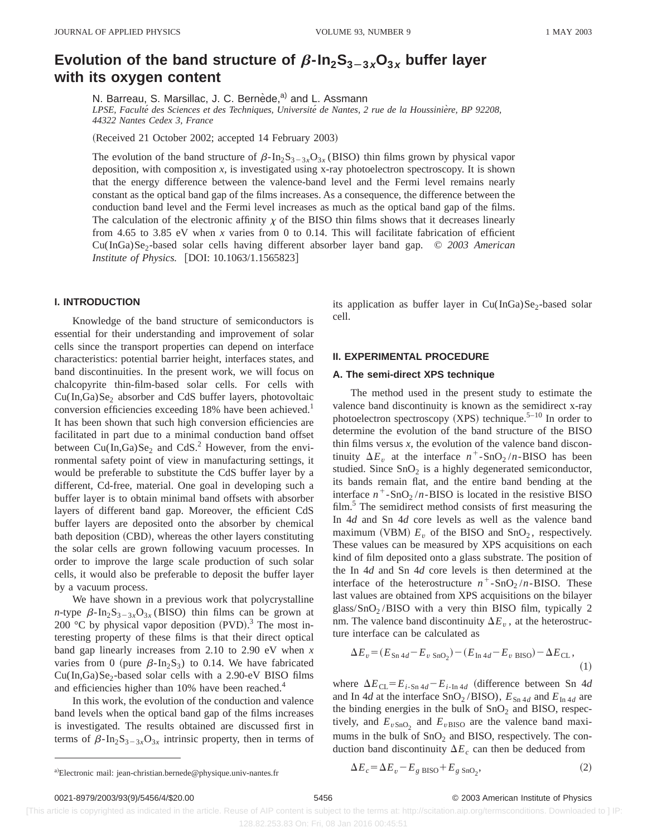# **Evolution of the band structure of**  $\beta$ **-** $\ln_2$ **S<sub>3-3x</sub>O<sub>3x</sub> buffer layer with its oxygen content**

N. Barreau, S. Marsillac, J. C. Bernède,<sup>a)</sup> and L. Assmann

*LPSE, Faculte´ des Sciences et des Techniques, Universite´ de Nantes, 2 rue de la Houssinie`re, BP 92208, 44322 Nantes Cedex 3, France*

(Received 21 October 2002; accepted 14 February 2003)

The evolution of the band structure of  $\beta$ -In<sub>2</sub>S<sub>3-3*x*</sub>O<sub>3*x*</sub> (BISO) thin films grown by physical vapor deposition, with composition  $x$ , is investigated using x-ray photoelectron spectroscopy. It is shown that the energy difference between the valence-band level and the Fermi level remains nearly constant as the optical band gap of the films increases. As a consequence, the difference between the conduction band level and the Fermi level increases as much as the optical band gap of the films. The calculation of the electronic affinity  $\chi$  of the BISO thin films shows that it decreases linearly from 4.65 to 3.85 eV when *x* varies from 0 to 0.14. This will facilitate fabrication of efficient Cu(InGa)Se<sub>2</sub>-based solar cells having different absorber layer band gap. © 2003 American *Institute of Physics.* [DOI: 10.1063/1.1565823]

#### **I. INTRODUCTION**

Knowledge of the band structure of semiconductors is essential for their understanding and improvement of solar cells since the transport properties can depend on interface characteristics: potential barrier height, interfaces states, and band discontinuities. In the present work, we will focus on chalcopyrite thin-film-based solar cells. For cells with  $Cu(In, Ga)Se<sub>2</sub>$  absorber and CdS buffer layers, photovoltaic conversion efficiencies exceeding 18% have been achieved.<sup>1</sup> It has been shown that such high conversion efficiencies are facilitated in part due to a minimal conduction band offset between  $Cu(In, Ga)Se<sub>2</sub>$  and CdS.<sup>2</sup> However, from the environmental safety point of view in manufacturing settings, it would be preferable to substitute the CdS buffer layer by a different, Cd-free, material. One goal in developing such a buffer layer is to obtain minimal band offsets with absorber layers of different band gap. Moreover, the efficient CdS buffer layers are deposited onto the absorber by chemical bath deposition (CBD), whereas the other layers constituting the solar cells are grown following vacuum processes. In order to improve the large scale production of such solar cells, it would also be preferable to deposit the buffer layer by a vacuum process.

We have shown in a previous work that polycrystalline *n*-type  $\beta$ -In<sub>2</sub>S<sub>3-3*x*</sub>O<sub>3*x*</sub> (BISO) thin films can be grown at 200 °C by physical vapor deposition  $(PVD)$ .<sup>3</sup> The most interesting property of these films is that their direct optical band gap linearly increases from 2.10 to 2.90 eV when *x* varies from 0 (pure  $\beta$ -In<sub>2</sub>S<sub>3</sub>) to 0.14. We have fabricated  $Cu(In, Ga)Se<sub>2</sub>$ -based solar cells with a 2.90-eV BISO films and efficiencies higher than 10% have been reached.<sup>4</sup>

In this work, the evolution of the conduction and valence band levels when the optical band gap of the films increases is investigated. The results obtained are discussed first in terms of  $\beta$ -In<sub>2</sub>S<sub>3-3*x*</sub>O<sub>3*x*</sub> intrinsic property, then in terms of its application as buffer layer in  $Cu(InGa)Se<sub>2</sub>$ -based solar cell.

#### **II. EXPERIMENTAL PROCEDURE**

#### **A. The semi-direct XPS technique**

The method used in the present study to estimate the valence band discontinuity is known as the semidirect x-ray photoelectron spectroscopy  $(XPS)$  technique.<sup>5–10</sup> In order to determine the evolution of the band structure of the BISO thin films versus  $x$ , the evolution of the valence band discontinuity  $\Delta E_n$  at the interface  $n^+$ -SnO<sub>2</sub> /*n*-BISO has been studied. Since  $SnO<sub>2</sub>$  is a highly degenerated semiconductor, its bands remain flat, and the entire band bending at the interface  $n^+$ -SnO<sub>2</sub>/*n*-BISO is located in the resistive BISO film.<sup>5</sup> The semidirect method consists of first measuring the In 4*d* and Sn 4*d* core levels as well as the valence band maximum (VBM)  $E_v$  of the BISO and SnO<sub>2</sub>, respectively. These values can be measured by XPS acquisitions on each kind of film deposited onto a glass substrate. The position of the In 4*d* and Sn 4*d* core levels is then determined at the interface of the heterostructure  $n^+$ -SnO<sub>2</sub>/n-BISO. These last values are obtained from XPS acquisitions on the bilayer glass/ $SnO<sub>2</sub>/BISO$  with a very thin BISO film, typically 2 nm. The valence band discontinuity  $\Delta E_v$ , at the heterostructure interface can be calculated as

$$
\Delta E_v = (E_{\text{Sn 4d}} - E_v_{\text{SnO}_2}) - (E_{\text{In 4d}} - E_v_{\text{ BISO}}) - \Delta E_{\text{CL}},
$$
\n(1)

where  $\Delta E_{CL} = E_{i\text{-Sn 4d}} - E_{i\text{-In 4d}}$  (difference between Sn 4*d* and In 4*d* at the interface SnO<sub>2</sub>/BISO),  $E_{\text{Sn}}4d$  and  $E_{\text{In}}4d$  are the binding energies in the bulk of  $SnO<sub>2</sub>$  and BISO, respectively, and  $E_{vSnO_2}$  and  $E_{vBISO}$  are the valence band maximums in the bulk of  $SnO<sub>2</sub>$  and BISO, respectively. The conduction band discontinuity  $\Delta E_c$  can then be deduced from

$$
\Delta E_c = \Delta E_v - E_g \text{ BISO} + E_g \text{SnO}_2,\tag{2}
$$

 [This article is copyrighted as indicated in the article. Reuse of AIP content is subject to the terms at: http://scitation.aip.org/termsconditions. Downloaded to ] IP: 128.82.253.83 On: Fri, 08 Jan 2016 00:45:51

<sup>&</sup>lt;sup>a)</sup>Electronic mail: jean-christian.bernede@physique.univ-nantes.fr  $\Delta E_c = \Delta E_v$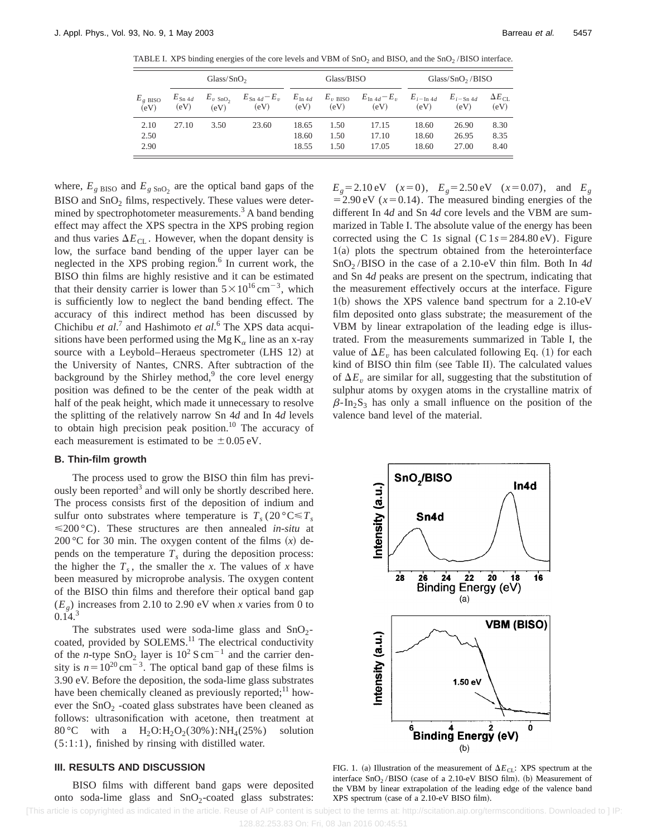|                              | Glass/SnO <sub>2</sub>     |                              |                                  | Glass/BISO                 |                             |                                  | Glass/ $SnO2$ /BISO  |                       |                                |
|------------------------------|----------------------------|------------------------------|----------------------------------|----------------------------|-----------------------------|----------------------------------|----------------------|-----------------------|--------------------------------|
| $E_{g \text{ BISO}}$<br>(eV) | $E_{\text{Sn} 4d}$<br>(eV) | $E_{v \text{ }SD_2}$<br>(eV) | $E_{\text{Sn }4d} - E_v$<br>(eV) | $E_{\text{In }4d}$<br>(eV) | $E_{v\text{ BISO}}$<br>(eV) | $E_{\text{In }4d} - E_v$<br>(eV) | $E_{i-1n4d}$<br>(eV) | $E_{i-Sn 4d}$<br>(eV) | $\Delta E_{\text{CI}}$<br>(eV) |
| 2.10                         | 27.10                      | 3.50                         | 23.60                            | 18.65                      | 1.50                        | 17.15                            | 18.60                | 26.90                 | 8.30                           |
| 2.50                         |                            |                              |                                  | 18.60                      | 1.50                        | 17.10                            | 18.60                | 26.95                 | 8.35                           |
| 2.90                         |                            |                              |                                  | 18.55                      | 1.50                        | 17.05                            | 18.60                | 27.00                 | 8.40                           |

TABLE I. XPS binding energies of the core levels and VBM of  $SnO<sub>2</sub>$  and BISO, and the  $SnO<sub>2</sub>/BISO$  interface.

where,  $E_{g \text{ BISO}}$  and  $E_{g \text{ Sno}_2}$  are the optical band gaps of the BISO and  $SnO<sub>2</sub>$  films, respectively. These values were determined by spectrophotometer measurements.<sup>3</sup> A band bending effect may affect the XPS spectra in the XPS probing region and thus varies  $\Delta E_{\text{CL}}$ . However, when the dopant density is low, the surface band bending of the upper layer can be neglected in the XPS probing region. $6$  In current work, the BISO thin films are highly resistive and it can be estimated that their density carrier is lower than  $5 \times 10^{16}$  cm<sup>-3</sup>, which is sufficiently low to neglect the band bending effect. The accuracy of this indirect method has been discussed by Chichibu *et al*. <sup>7</sup> and Hashimoto *et al*. <sup>6</sup> The XPS data acquisitions have been performed using the Mg  $K_{\alpha}$  line as an x-ray source with a Leybold–Heraeus spectrometer (LHS 12) at the University of Nantes, CNRS. After subtraction of the background by the Shirley method, $9$  the core level energy position was defined to be the center of the peak width at half of the peak height, which made it unnecessary to resolve the splitting of the relatively narrow Sn 4*d* and In 4*d* levels to obtain high precision peak position.<sup>10</sup> The accuracy of each measurement is estimated to be  $\pm 0.05$  eV.

#### **B. Thin-film growth**

The process used to grow the BISO thin film has previously been reported<sup>3</sup> and will only be shortly described here. The process consists first of the deposition of indium and sulfur onto substrates where temperature is  $T_s (20 \degree \text{C} \leq T_s)$ <200 °C). These structures are then annealed *in-situ* at 200 °C for 30 min. The oxygen content of the films  $(x)$  depends on the temperature  $T<sub>s</sub>$  during the deposition process: the higher the  $T_s$ , the smaller the *x*. The values of *x* have been measured by microprobe analysis. The oxygen content of the BISO thin films and therefore their optical band gap  $(E_g)$  increases from 2.10 to 2.90 eV when *x* varies from 0 to  $0.14.<sup>3</sup>$ 

The substrates used were soda-lime glass and  $SnO<sub>2</sub>$ coated, provided by SOLEMS.<sup>11</sup> The electrical conductivity of the *n*-type  $\text{SnO}_2$  layer is  $10^2 \text{ S cm}^{-1}$  and the carrier density is  $n=10^{20}$  cm<sup>-3</sup>. The optical band gap of these films is 3.90 eV. Before the deposition, the soda-lime glass substrates have been chemically cleaned as previously reported; $^{11}$  however the  $SnO<sub>2</sub>$  -coated glass substrates have been cleaned as follows: ultrasonification with acetone, then treatment at 80 °C with a  $H_2O:H_2O_2(30\%)$ : N $H_4(25\%)$  solution (5:1:1), finished by rinsing with distilled water.

#### **III. RESULTS AND DISCUSSION**

BISO films with different band gaps were deposited onto soda-lime glass and  $SnO<sub>2</sub>$ -coated glass substrates:  $E_g$ =2.10 eV (*x*=0),  $E_g$ =2.50 eV (*x*=0.07), and  $E_g$  $=$  2.90 eV ( $x=0.14$ ). The measured binding energies of the different In 4*d* and Sn 4*d* core levels and the VBM are summarized in Table I. The absolute value of the energy has been corrected using the C 1s signal (C  $1s = 284.80 \text{ eV}$ ). Figure  $1(a)$  plots the spectrum obtained from the heterointerface SnO2 /BISO in the case of a 2.10-eV thin film. Both In 4*d* and Sn 4*d* peaks are present on the spectrum, indicating that the measurement effectively occurs at the interface. Figure  $1(b)$  shows the XPS valence band spectrum for a 2.10-eV film deposited onto glass substrate; the measurement of the VBM by linear extrapolation of the leading edge is illustrated. From the measurements summarized in Table I, the value of  $\Delta E_v$  has been calculated following Eq. (1) for each kind of BISO thin film (see Table II). The calculated values of  $\Delta E_v$  are similar for all, suggesting that the substitution of sulphur atoms by oxygen atoms in the crystalline matrix of  $\beta$ -In<sub>2</sub>S<sub>3</sub> has only a small influence on the position of the valence band level of the material.



FIG. 1. (a) Illustration of the measurement of  $\Delta E_{CL}$ : XPS spectrum at the interface  $SnO<sub>2</sub> / BISO$  (case of a 2.10-eV BISO film). (b) Measurement of the VBM by linear extrapolation of the leading edge of the valence band XPS spectrum (case of a 2.10-eV BISO film).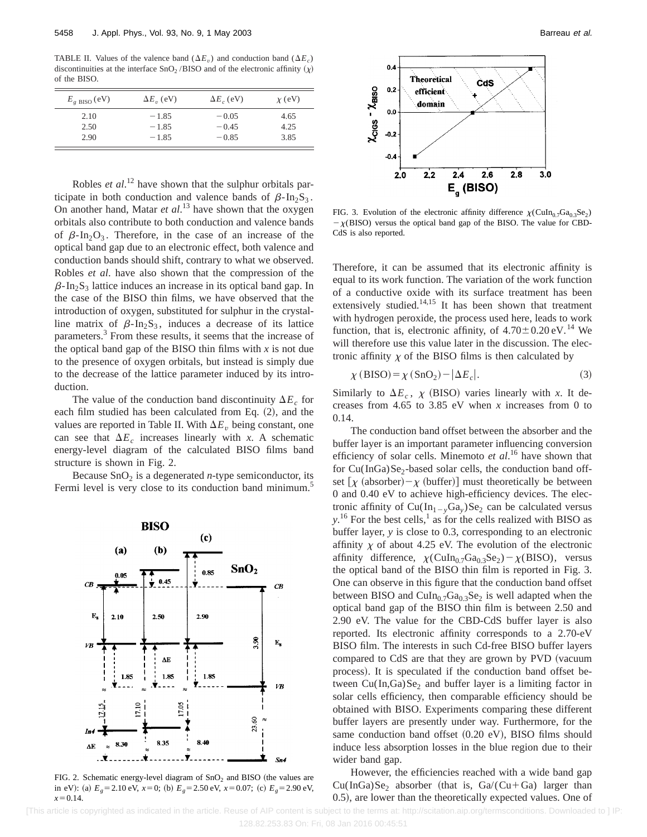TABLE II. Values of the valence band  $(\Delta E_v)$  and conduction band  $(\Delta E_c)$ discontinuities at the interface  $\text{SnO}_2$ /BISO and of the electronic affinity  $(\chi)$ of the BISO.

| $E_{\rm g\ BISO}$ (eV) | $\Delta E_v$ (eV) | $\Delta E_c$ (eV) | $\chi$ (eV) |
|------------------------|-------------------|-------------------|-------------|
| 2.10                   | $-1.85$           | $-0.05$           | 4.65        |
| 2.50                   | $-1.85$           | $-0.45$           | 4.25        |
| 2.90                   | $-1.85$           | $-0.85$           | 3.85        |

Robles *et al*. <sup>12</sup> have shown that the sulphur orbitals participate in both conduction and valence bands of  $\beta$ -In<sub>2</sub>S<sub>3</sub>. On another hand, Matar *et al*. <sup>13</sup> have shown that the oxygen orbitals also contribute to both conduction and valence bands of  $\beta$ -In<sub>2</sub>O<sub>3</sub>. Therefore, in the case of an increase of the optical band gap due to an electronic effect, both valence and conduction bands should shift, contrary to what we observed. Robles *et al*. have also shown that the compression of the  $\beta$ -In<sub>2</sub>S<sub>3</sub> lattice induces an increase in its optical band gap. In the case of the BISO thin films, we have observed that the introduction of oxygen, substituted for sulphur in the crystalline matrix of  $\beta$ -In<sub>2</sub>S<sub>3</sub>, induces a decrease of its lattice parameters.<sup>3</sup> From these results, it seems that the increase of the optical band gap of the BISO thin films with  $x$  is not due to the presence of oxygen orbitals, but instead is simply due to the decrease of the lattice parameter induced by its introduction.

The value of the conduction band discontinuity  $\Delta E_c$  for each film studied has been calculated from Eq.  $(2)$ , and the values are reported in Table II. With  $\Delta E<sub>v</sub>$  being constant, one can see that  $\Delta E_c$  increases linearly with *x*. A schematic energy-level diagram of the calculated BISO films band structure is shown in Fig. 2.

Because  $\text{SnO}_2$  is a degenerated *n*-type semiconductor, its Fermi level is very close to its conduction band minimum.<sup>5</sup>



FIG. 2. Schematic energy-level diagram of  $SnO<sub>2</sub>$  and BISO (the values are in eV): (a)  $E_g = 2.10 \text{ eV}$ ,  $x=0$ ; (b)  $E_g = 2.50 \text{ eV}$ ,  $x=0.07$ ; (c)  $E_g = 2.90 \text{ eV}$ ,  $x=0.14$ .



FIG. 3. Evolution of the electronic affinity difference  $\chi$ (CuIn<sub>0.7</sub>Ga<sub>0.3</sub>Se<sub>2</sub>)  $-\chi(BISO)$  versus the optical band gap of the BISO. The value for CBD-CdS is also reported.

Therefore, it can be assumed that its electronic affinity is equal to its work function. The variation of the work function of a conductive oxide with its surface treatment has been extensively studied. $14,15$  It has been shown that treatment with hydrogen peroxide, the process used here, leads to work function, that is, electronic affinity, of  $4.70 \pm 0.20$  eV.<sup>14</sup> We will therefore use this value later in the discussion. The electronic affinity  $\chi$  of the BISO films is then calculated by

$$
\chi(BISO) = \chi(SnO_2) - |\Delta E_c|.
$$
 (3)

Similarly to  $\Delta E_c$ ,  $\chi$  (BISO) varies linearly with *x*. It decreases from 4.65 to 3.85 eV when *x* increases from 0 to 0.14.

The conduction band offset between the absorber and the buffer layer is an important parameter influencing conversion efficiency of solar cells. Minemoto *et al*. <sup>16</sup> have shown that for  $Cu(InGa)Se<sub>2</sub>$ -based solar cells, the conduction band offset  $[\chi$  (absorber) –  $\chi$  (buffer)] must theoretically be between 0 and 0.40 eV to achieve high-efficiency devices. The electronic affinity of  $Cu(In_{1-v}Ga_v)Se_2$  can be calculated versus  $y$ <sup>16</sup>. For the best cells,<sup>1</sup> as for the cells realized with BISO as buffer layer, *y* is close to 0.3, corresponding to an electronic affinity  $\chi$  of about 4.25 eV. The evolution of the electronic affinity difference,  $\chi$ (CuIn<sub>0.7</sub>Ga<sub>0.3</sub>Se<sub>2</sub>) –  $\chi$ (BISO), versus the optical band of the BISO thin film is reported in Fig. 3. One can observe in this figure that the conduction band offset between BISO and  $\text{CuIn}_{0.7}\text{Ga}_{0.3}\text{Se}_2$  is well adapted when the optical band gap of the BISO thin film is between 2.50 and 2.90 eV. The value for the CBD-CdS buffer layer is also reported. Its electronic affinity corresponds to a 2.70-eV BISO film. The interests in such Cd-free BISO buffer layers compared to CdS are that they are grown by PVD (vacuum process). It is speculated if the conduction band offset between  $Cu(In, Ga)Se<sub>2</sub>$  and buffer layer is a limiting factor in solar cells efficiency, then comparable efficiency should be obtained with BISO. Experiments comparing these different buffer layers are presently under way. Furthermore, for the same conduction band offset  $(0.20 \text{ eV})$ , BISO films should induce less absorption losses in the blue region due to their wider band gap.

However, the efficiencies reached with a wide band gap  $Cu(InGa)Se<sub>2</sub>$  absorber (that is,  $Ga/(Cu+Ga)$  larger than 0.5), are lower than the theoretically expected values. One of